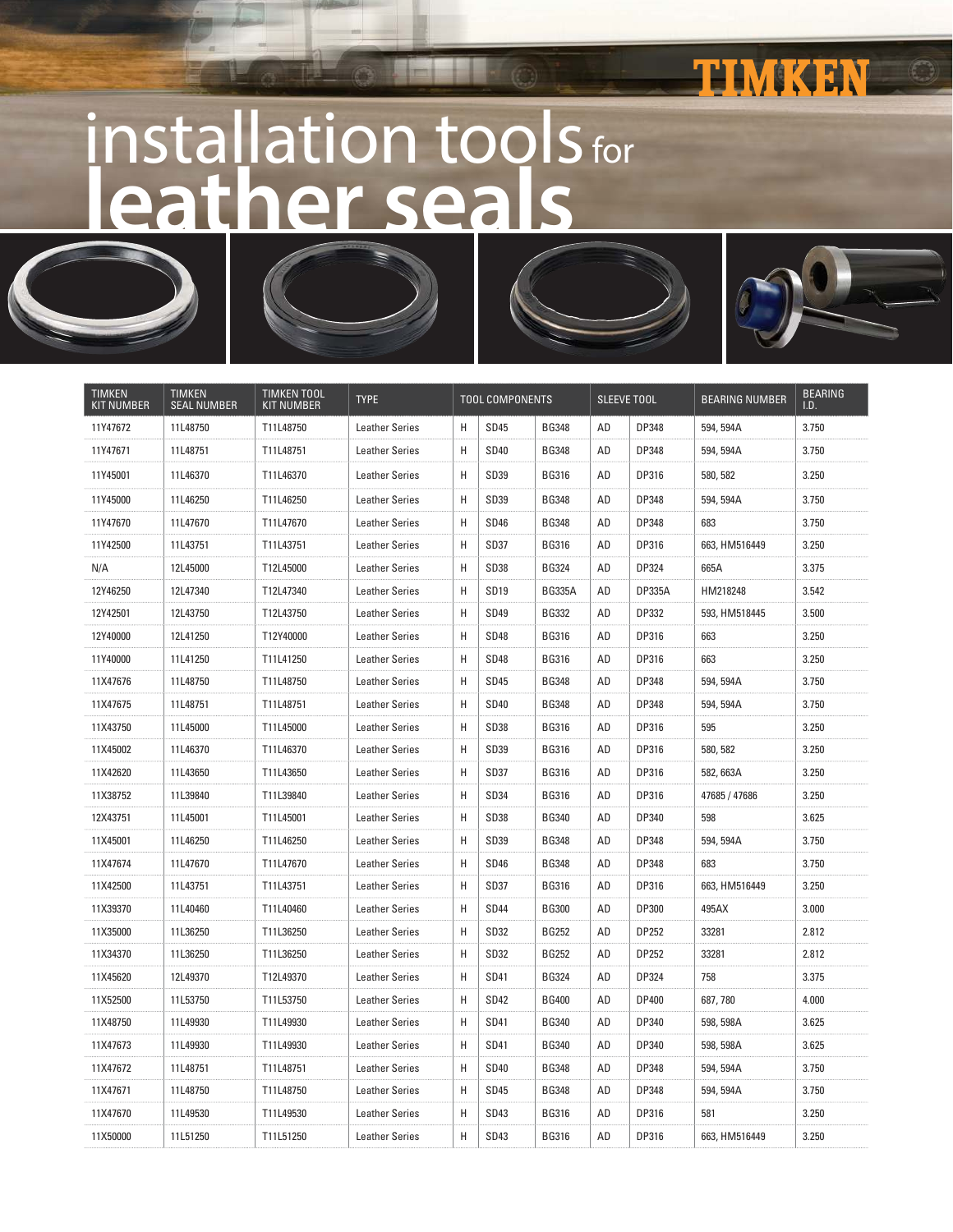## THAVEKERN

## installation tools for **leather seals**